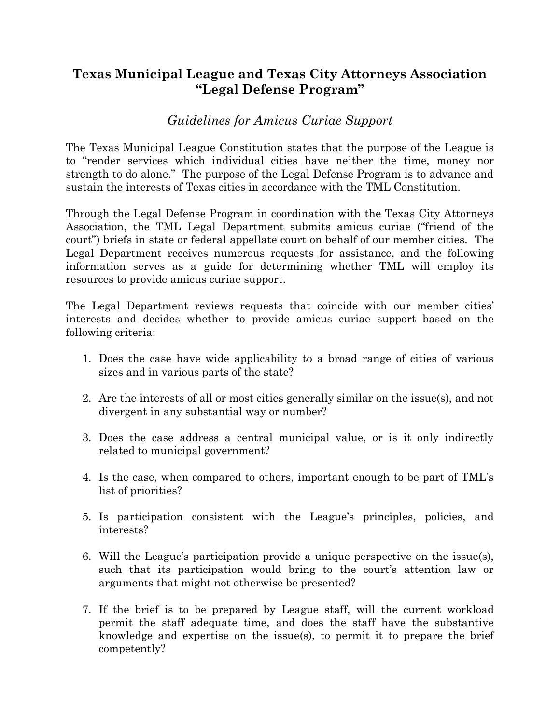## **Texas Municipal League and Texas City Attorneys Association "Legal Defense Program"**

## *Guidelines for Amicus Curiae Support*

The Texas Municipal League Constitution states that the purpose of the League is to "render services which individual cities have neither the time, money nor strength to do alone." The purpose of the Legal Defense Program is to advance and sustain the interests of Texas cities in accordance with the TML Constitution.

Through the Legal Defense Program in coordination with the Texas City Attorneys Association, the TML Legal Department submits amicus curiae ("friend of the court") briefs in state or federal appellate court on behalf of our member cities. The Legal Department receives numerous requests for assistance, and the following information serves as a guide for determining whether TML will employ its resources to provide amicus curiae support.

The Legal Department reviews requests that coincide with our member cities' interests and decides whether to provide amicus curiae support based on the following criteria:

- 1. Does the case have wide applicability to a broad range of cities of various sizes and in various parts of the state?
- 2. Are the interests of all or most cities generally similar on the issue(s), and not divergent in any substantial way or number?
- 3. Does the case address a central municipal value, or is it only indirectly related to municipal government?
- 4. Is the case, when compared to others, important enough to be part of TML's list of priorities?
- 5. Is participation consistent with the League's principles, policies, and interests?
- 6. Will the League's participation provide a unique perspective on the issue(s), such that its participation would bring to the court's attention law or arguments that might not otherwise be presented?
- 7. If the brief is to be prepared by League staff, will the current workload permit the staff adequate time, and does the staff have the substantive knowledge and expertise on the issue(s), to permit it to prepare the brief competently?